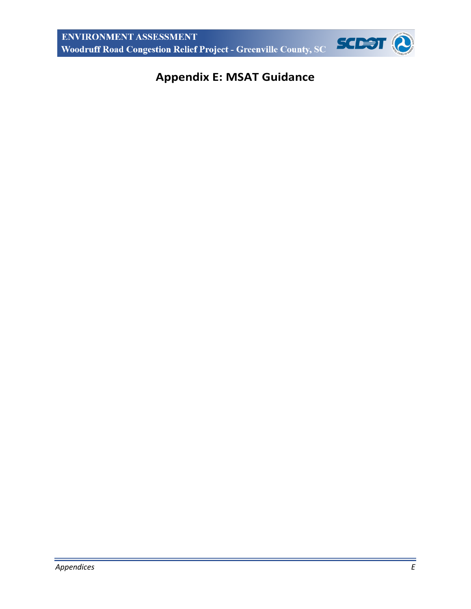

# **Appendix E: MSAT Guidance**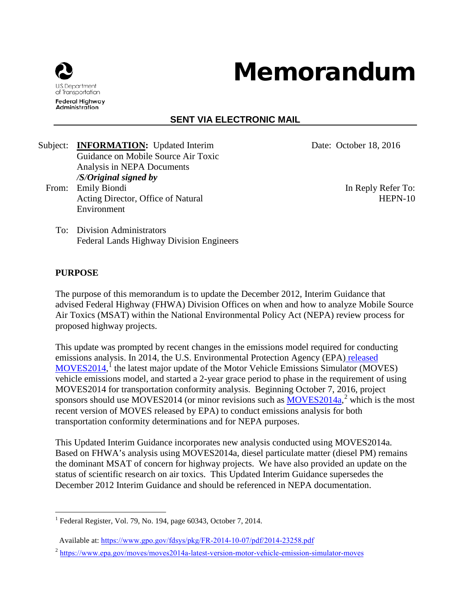

# Memorandum

# **SENT VIA ELECTRONIC MAIL**

Subject: **INFORMATION:** Updated Interim Guidance on Mobile Source Air Toxic Analysis in NEPA Documents */S/Original signed by* From: Emily Biondi In Reply Refer To: Acting Director, Office of Natural

Environment

Date: October 18, 2016

HEPN-10

To: Division Administrators Federal Lands Highway Division Engineers

#### **PURPOSE**

The purpose of this memorandum is to update the December 2012, Interim Guidance that advised Federal Highway (FHWA) Division Offices on when and how to analyze Mobile Source Air Toxics (MSAT) within the National Environmental Policy Act (NEPA) review process for proposed highway projects.

This update was prompted by recent changes in the emissions model required for conducting emissions analysis. In 2014, the U.S. Environmental Protection Agency (EPA) [released](https://www.gpo.gov/fdsys/pkg/FR-2014-10-07/pdf/2014-23258.pdf)  [MOVES2014,](https://www.gpo.gov/fdsys/pkg/FR-2014-10-07/pdf/2014-23258.pdf)<sup>[1](#page-1-0)</sup> the latest major update of the Motor Vehicle Emissions Simulator (MOVES) vehicle emissions model, and started a 2-year grace period to phase in the requirement of using MOVES2014 for transportation conformity analysis. Beginning October 7, 2016, project sponsors should use MOVES[2](#page-1-1)014 (or minor revisions such as  $\frac{MOVES2014a}{\pi}$ <sup>2</sup> which is the most recent version of MOVES released by EPA) to conduct emissions analysis for both transportation conformity determinations and for NEPA purposes.

This Updated Interim Guidance incorporates new analysis conducted using MOVES2014a. Based on FHWA's analysis using MOVES2014a, diesel particulate matter (diesel PM) remains the dominant MSAT of concern for highway projects. We have also provided an update on the status of scientific research on air toxics. This Updated Interim Guidance supersedes the December 2012 Interim Guidance and should be referenced in NEPA documentation.

<span id="page-1-0"></span> $<sup>1</sup>$  Federal Register, Vol. 79, No. 194, page 60343, October 7, 2014.</sup>

Available at: <https://www.gpo.gov/fdsys/pkg/FR-2014-10-07/pdf/2014-23258.pdf>

<span id="page-1-1"></span><sup>&</sup>lt;sup>2</sup> <https://www.epa.gov/moves/moves2014a-latest-version-motor-vehicle-emission-simulator-moves>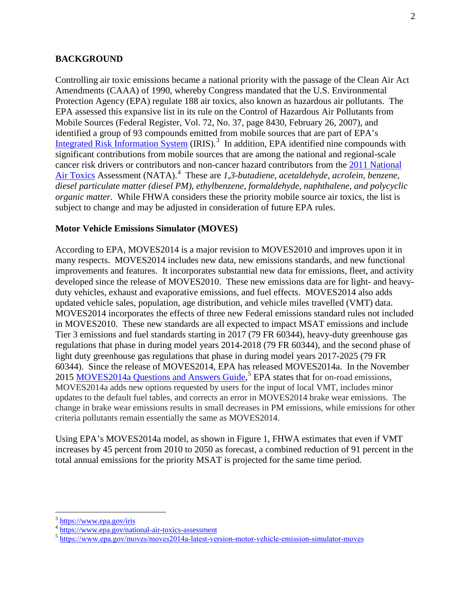#### **BACKGROUND**

Controlling air toxic emissions became a national priority with the passage of the Clean Air Act Amendments (CAAA) of 1990, whereby Congress mandated that the U.S. Environmental Protection Agency (EPA) regulate 188 air toxics, also known as hazardous air pollutants. The EPA assessed this expansive list in its rule on the Control of Hazardous Air Pollutants from Mobile Sources (Federal Register, Vol. 72, No. 37, page 8430, February 26, 2007), and identified a group of 93 compounds emitted from mobile sources that are part of EPA's [Integrated Risk Information System](https://www.epa.gov/iris) (IRIS).<sup>[3](#page-2-0)</sup> In addition, EPA identified nine compounds with significant contributions from mobile sources that are among the national and regional-scale cancer risk drivers or contributors and non-cancer hazard contributors from the [2011 National](https://www.epa.gov/national-air-toxics-assessment)  [Air Toxics](https://www.epa.gov/national-air-toxics-assessment) Assessment (NATA).<sup>[4](#page-2-1)</sup> These are 1,3-butadiene, acetaldehyde, acrolein, benzene, *diesel particulate matter (diesel PM), ethylbenzene, formaldehyde, naphthalene, and polycyclic organic matter.* While FHWA considers these the priority mobile source air toxics, the list is subject to change and may be adjusted in consideration of future EPA rules.

#### **Motor Vehicle Emissions Simulator (MOVES)**

According to EPA, MOVES2014 is a major revision to MOVES2010 and improves upon it in many respects. MOVES2014 includes new data, new emissions standards, and new functional improvements and features. It incorporates substantial new data for emissions, fleet, and activity developed since the release of MOVES2010. These new emissions data are for light- and heavyduty vehicles, exhaust and evaporative emissions, and fuel effects. MOVES2014 also adds updated vehicle sales, population, age distribution, and vehicle miles travelled (VMT) data. MOVES2014 incorporates the effects of three new Federal emissions standard rules not included in MOVES2010. These new standards are all expected to impact MSAT emissions and include Tier 3 emissions and fuel standards starting in 2017 (79 FR 60344), heavy-duty greenhouse gas regulations that phase in during model years 2014-2018 (79 FR 60344), and the second phase of light duty greenhouse gas regulations that phase in during model years 2017-2025 (79 FR 60344). Since the release of MOVES2014, EPA has released MOVES2014a. In the November 201[5](#page-2-2) MOVES 2014a Questions and Answers Guide,<sup>5</sup> EPA states that for on-road emissions, MOVES2014a adds new options requested by users for the input of local VMT, includes minor updates to the default fuel tables, and corrects an error in MOVES2014 brake wear emissions. The change in brake wear emissions results in small decreases in PM emissions, while emissions for other criteria pollutants remain essentially the same as MOVES2014.

Using EPA's MOVES2014a model, as shown in Figure 1, FHWA estimates that even if VMT increases by 45 percent from 2010 to 2050 as forecast, a combined reduction of 91 percent in the total annual emissions for the priority MSAT is projected for the same time period.

<span id="page-2-0"></span><sup>&</sup>lt;sup>3</sup> <https://www.epa.gov/iris>

<span id="page-2-1"></span><sup>&</sup>lt;sup>4</sup> https://www.epa.gov/national-air-toxics-assessment

<span id="page-2-2"></span><sup>&</sup>lt;sup>5</sup> [https://www.epa.gov/moves/moves2014a-latest-version-motor-vehicle](https://www.epa.gov/moves/moves2014a-latest-version-motor-vehicle-emission-simulator-moves)-emission-simulator-moves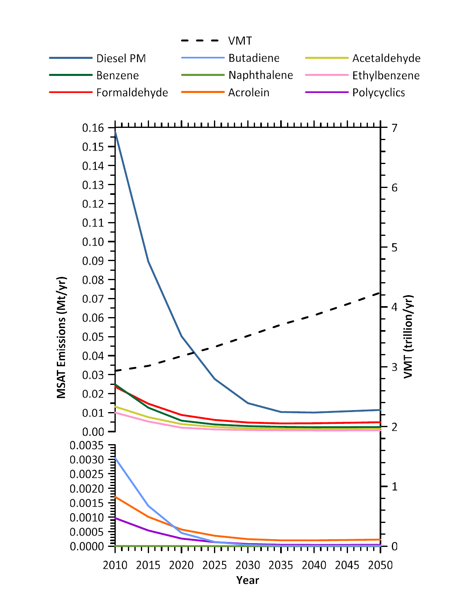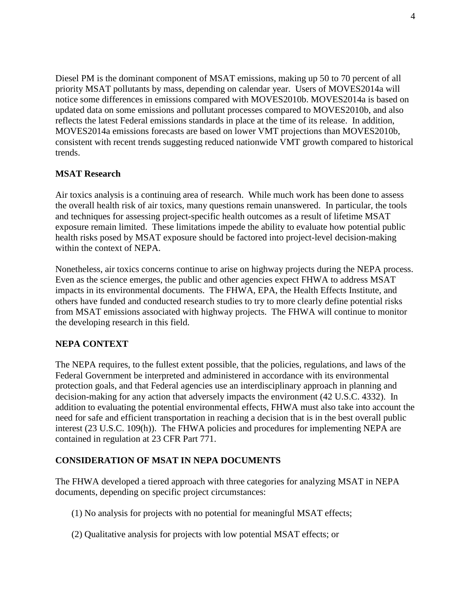Diesel PM is the dominant component of MSAT emissions, making up 50 to 70 percent of all priority MSAT pollutants by mass, depending on calendar year. Users of MOVES2014a will notice some differences in emissions compared with MOVES2010b. MOVES2014a is based on updated data on some emissions and pollutant processes compared to MOVES2010b, and also reflects the latest Federal emissions standards in place at the time of its release. In addition, MOVES2014a emissions forecasts are based on lower VMT projections than MOVES2010b, consistent with recent trends suggesting reduced nationwide VMT growth compared to historical trends.

#### **MSAT Research**

Air toxics analysis is a continuing area of research. While much work has been done to assess the overall health risk of air toxics, many questions remain unanswered. In particular, the tools and techniques for assessing project-specific health outcomes as a result of lifetime MSAT exposure remain limited. These limitations impede the ability to evaluate how potential public health risks posed by MSAT exposure should be factored into project-level decision-making within the context of NEPA.

Nonetheless, air toxics concerns continue to arise on highway projects during the NEPA process. Even as the science emerges, the public and other agencies expect FHWA to address MSAT impacts in its environmental documents. The FHWA, EPA, the Health Effects Institute, and others have funded and conducted research studies to try to more clearly define potential risks from MSAT emissions associated with highway projects. The FHWA will continue to monitor the developing research in this field.

#### **NEPA CONTEXT**

The NEPA requires, to the fullest extent possible, that the policies, regulations, and laws of the Federal Government be interpreted and administered in accordance with its environmental protection goals, and that Federal agencies use an interdisciplinary approach in planning and decision-making for any action that adversely impacts the environment (42 U.S.C. 4332). In addition to evaluating the potential environmental effects, FHWA must also take into account the need for safe and efficient transportation in reaching a decision that is in the best overall public interest (23 U.S.C. 109(h)). The FHWA policies and procedures for implementing NEPA are contained in regulation at 23 CFR Part 771.

#### **CONSIDERATION OF MSAT IN NEPA DOCUMENTS**

The FHWA developed a tiered approach with three categories for analyzing MSAT in NEPA documents, depending on specific project circumstances:

- (1) No analysis for projects with no potential for meaningful MSAT effects;
- (2) Qualitative analysis for projects with low potential MSAT effects; or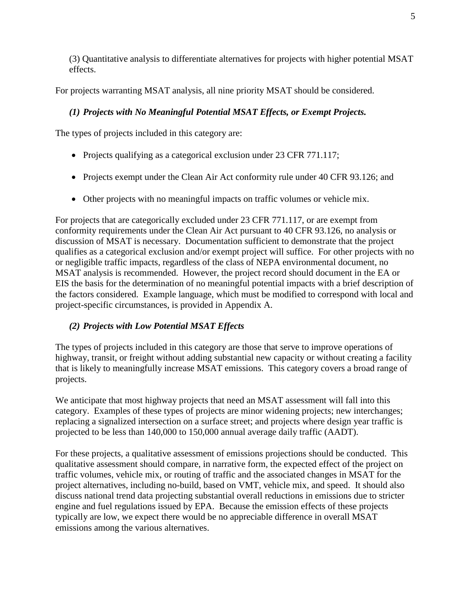(3) Quantitative analysis to differentiate alternatives for projects with higher potential MSAT effects.

For projects warranting MSAT analysis, all nine priority MSAT should be considered.

## *(1) Projects with No Meaningful Potential MSAT Effects, or Exempt Projects.*

The types of projects included in this category are:

- Projects qualifying as a categorical exclusion under 23 CFR 771.117;
- Projects exempt under the Clean Air Act conformity rule under 40 CFR 93.126; and
- Other projects with no meaningful impacts on traffic volumes or vehicle mix.

For projects that are categorically excluded under 23 CFR 771.117, or are exempt from conformity requirements under the Clean Air Act pursuant to 40 CFR 93.126, no analysis or discussion of MSAT is necessary. Documentation sufficient to demonstrate that the project qualifies as a categorical exclusion and/or exempt project will suffice. For other projects with no or negligible traffic impacts, regardless of the class of NEPA environmental document, no MSAT analysis is recommended. However, the project record should document in the EA or EIS the basis for the determination of no meaningful potential impacts with a brief description of the factors considered. Example language, which must be modified to correspond with local and project-specific circumstances, is provided in Appendix A.

# *(2) Projects with Low Potential MSAT Effects*

The types of projects included in this category are those that serve to improve operations of highway, transit, or freight without adding substantial new capacity or without creating a facility that is likely to meaningfully increase MSAT emissions. This category covers a broad range of projects.

We anticipate that most highway projects that need an MSAT assessment will fall into this category. Examples of these types of projects are minor widening projects; new interchanges; replacing a signalized intersection on a surface street; and projects where design year traffic is projected to be less than 140,000 to 150,000 annual average daily traffic (AADT).

For these projects, a qualitative assessment of emissions projections should be conducted. This qualitative assessment should compare, in narrative form, the expected effect of the project on traffic volumes, vehicle mix, or routing of traffic and the associated changes in MSAT for the project alternatives, including no-build, based on VMT, vehicle mix, and speed. It should also discuss national trend data projecting substantial overall reductions in emissions due to stricter engine and fuel regulations issued by EPA. Because the emission effects of these projects typically are low, we expect there would be no appreciable difference in overall MSAT emissions among the various alternatives.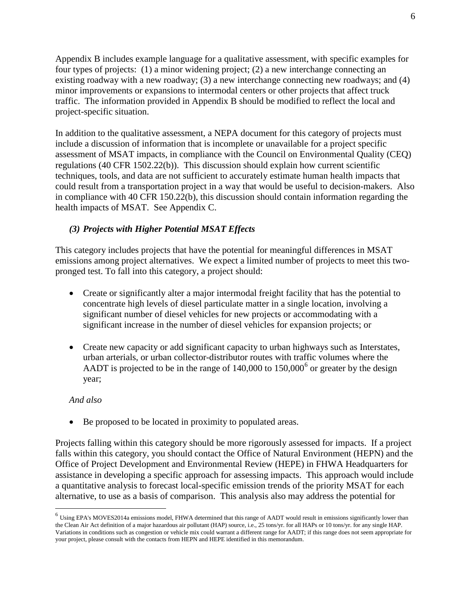Appendix B includes example language for a qualitative assessment, with specific examples for four types of projects: (1) a minor widening project; (2) a new interchange connecting an existing roadway with a new roadway; (3) a new interchange connecting new roadways; and (4) minor improvements or expansions to intermodal centers or other projects that affect truck traffic. The information provided in Appendix B should be modified to reflect the local and project-specific situation.

In addition to the qualitative assessment, a NEPA document for this category of projects must include a discussion of information that is incomplete or unavailable for a project specific assessment of MSAT impacts, in compliance with the Council on Environmental Quality (CEQ) regulations (40 CFR 1502.22(b)). This discussion should explain how current scientific techniques, tools, and data are not sufficient to accurately estimate human health impacts that could result from a transportation project in a way that would be useful to decision-makers. Also in compliance with 40 CFR 150.22(b), this discussion should contain information regarding the health impacts of MSAT. See Appendix C.

#### *(3) Projects with Higher Potential MSAT Effects*

This category includes projects that have the potential for meaningful differences in MSAT emissions among project alternatives. We expect a limited number of projects to meet this twopronged test. To fall into this category, a project should:

- Create or significantly alter a major intermodal freight facility that has the potential to concentrate high levels of diesel particulate matter in a single location, involving a significant number of diesel vehicles for new projects or accommodating with a significant increase in the number of diesel vehicles for expansion projects; or
- Create new capacity or add significant capacity to urban highways such as Interstates, urban arterials, or urban collector-distributor routes with traffic volumes where the AADT is projected to be in the range of  $140,000$  to  $150,000^6$  $150,000^6$  or greater by the design year;

#### *And also*

• Be proposed to be located in proximity to populated areas.

Projects falling within this category should be more rigorously assessed for impacts. If a project falls within this category, you should contact the Office of Natural Environment (HEPN) and the Office of Project Development and Environmental Review (HEPE) in FHWA Headquarters for assistance in developing a specific approach for assessing impacts. This approach would include a quantitative analysis to forecast local-specific emission trends of the priority MSAT for each alternative, to use as a basis of comparison. This analysis also may address the potential for

<span id="page-6-0"></span> <sup>6</sup> Using EPA's MOVES2014a emissions model, FHWA determined that this range of AADT would result in emissions significantly lower than the Clean Air Act definition of a major hazardous air pollutant (HAP) source, i.e., 25 tons/yr. for all HAPs or 10 tons/yr. for any single HAP. Variations in conditions such as congestion or vehicle mix could warrant a different range for AADT; if this range does not seem appropriate for your project, please consult with the contacts from HEPN and HEPE identified in this memorandum.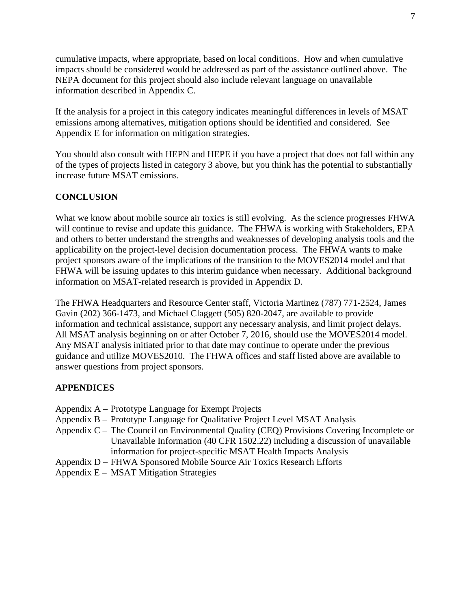cumulative impacts, where appropriate, based on local conditions. How and when cumulative impacts should be considered would be addressed as part of the assistance outlined above. The NEPA document for this project should also include relevant language on unavailable information described in Appendix C.

If the analysis for a project in this category indicates meaningful differences in levels of MSAT emissions among alternatives, mitigation options should be identified and considered. See Appendix E for information on mitigation strategies.

You should also consult with HEPN and HEPE if you have a project that does not fall within any of the types of projects listed in category 3 above, but you think has the potential to substantially increase future MSAT emissions.

#### **CONCLUSION**

What we know about mobile source air toxics is still evolving. As the science progresses FHWA will continue to revise and update this guidance. The FHWA is working with Stakeholders, EPA and others to better understand the strengths and weaknesses of developing analysis tools and the applicability on the project-level decision documentation process. The FHWA wants to make project sponsors aware of the implications of the transition to the MOVES2014 model and that FHWA will be issuing updates to this interim guidance when necessary. Additional background information on MSAT-related research is provided in Appendix D.

The FHWA Headquarters and Resource Center staff, Victoria Martinez (787) 771-2524, James Gavin (202) 366-1473, and Michael Claggett (505) 820-2047, are available to provide information and technical assistance, support any necessary analysis, and limit project delays. All MSAT analysis beginning on or after October 7, 2016, should use the MOVES2014 model. Any MSAT analysis initiated prior to that date may continue to operate under the previous guidance and utilize MOVES2010. The FHWA offices and staff listed above are available to answer questions from project sponsors.

#### **APPENDICES**

- Appendix A Prototype Language for Exempt Projects
- Appendix B Prototype Language for Qualitative Project Level MSAT Analysis
- Appendix C The Council on Environmental Quality (CEQ) Provisions Covering Incomplete or Unavailable Information (40 CFR 1502.22) including a discussion of unavailable information for project-specific MSAT Health Impacts Analysis
- Appendix D FHWA Sponsored Mobile Source Air Toxics Research Efforts
- Appendix E MSAT Mitigation Strategies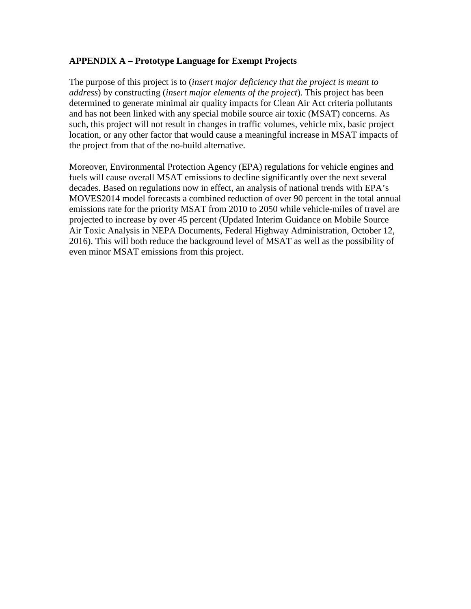#### **APPENDIX A – Prototype Language for Exempt Projects**

The purpose of this project is to (*insert major deficiency that the project is meant to address*) by constructing (*insert major elements of the project*). This project has been determined to generate minimal air quality impacts for Clean Air Act criteria pollutants and has not been linked with any special mobile source air toxic (MSAT) concerns. As such, this project will not result in changes in traffic volumes, vehicle mix, basic project location, or any other factor that would cause a meaningful increase in MSAT impacts of the project from that of the no-build alternative.

Moreover, Environmental Protection Agency (EPA) regulations for vehicle engines and fuels will cause overall MSAT emissions to decline significantly over the next several decades. Based on regulations now in effect, an analysis of national trends with EPA's MOVES2014 model forecasts a combined reduction of over 90 percent in the total annual emissions rate for the priority MSAT from 2010 to 2050 while vehicle-miles of travel are projected to increase by over 45 percent (Updated Interim Guidance on Mobile Source Air Toxic Analysis in NEPA Documents, Federal Highway Administration, October 12, 2016). This will both reduce the background level of MSAT as well as the possibility of even minor MSAT emissions from this project.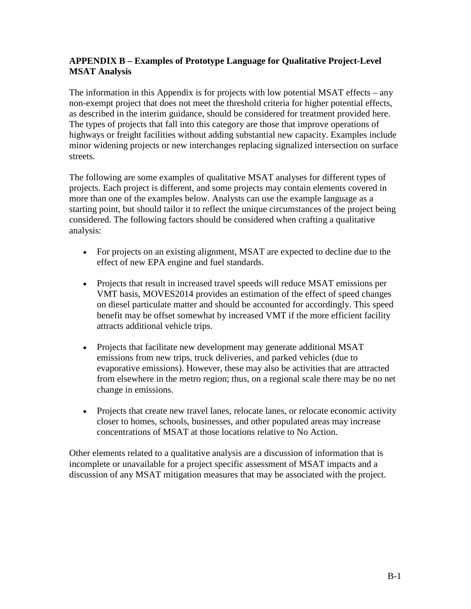## **APPENDIX B – Examples of Prototype Language for Qualitative Project-Level MSAT Analysis**

The information in this Appendix is for projects with low potential MSAT effects – any non-exempt project that does not meet the threshold criteria for higher potential effects, as described in the interim guidance, should be considered for treatment provided here. The types of projects that fall into this category are those that improve operations of highways or freight facilities without adding substantial new capacity. Examples include minor widening projects or new interchanges replacing signalized intersection on surface streets.

The following are some examples of qualitative MSAT analyses for different types of projects. Each project is different, and some projects may contain elements covered in more than one of the examples below. Analysts can use the example language as a starting point, but should tailor it to reflect the unique circumstances of the project being considered. The following factors should be considered when crafting a qualitative analysis:

- For projects on an existing alignment, MSAT are expected to decline due to the effect of new EPA engine and fuel standards.
- Projects that result in increased travel speeds will reduce MSAT emissions per VMT basis, MOVES2014 provides an estimation of the effect of speed changes on diesel particulate matter and should be accounted for accordingly. This speed benefit may be offset somewhat by increased VMT if the more efficient facility attracts additional vehicle trips.
- Projects that facilitate new development may generate additional MSAT emissions from new trips, truck deliveries, and parked vehicles (due to evaporative emissions). However, these may also be activities that are attracted from elsewhere in the metro region; thus, on a regional scale there may be no net change in emissions.
- Projects that create new travel lanes, relocate lanes, or relocate economic activity closer to homes, schools, businesses, and other populated areas may increase concentrations of MSAT at those locations relative to No Action.

Other elements related to a qualitative analysis are a discussion of information that is incomplete or unavailable for a project specific assessment of MSAT impacts and a discussion of any MSAT mitigation measures that may be associated with the project.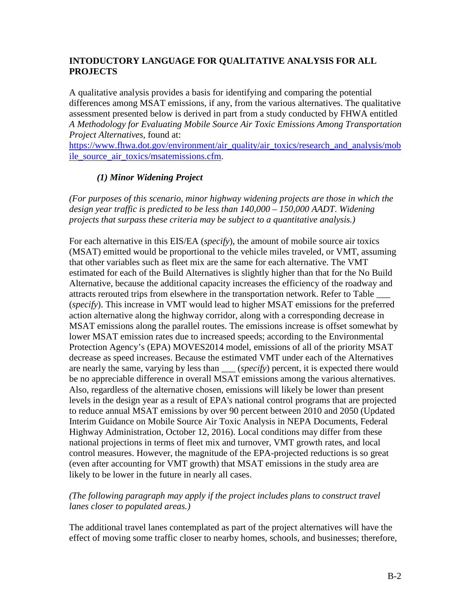## **INTODUCTORY LANGUAGE FOR QUALITATIVE ANALYSIS FOR ALL PROJECTS**

A qualitative analysis provides a basis for identifying and comparing the potential differences among MSAT emissions, if any, from the various alternatives. The qualitative assessment presented below is derived in part from a study conducted by FHWA entitled *A Methodology for Evaluating Mobile Source Air Toxic Emissions Among Transportation Project Alternatives*, found at:

[https://www.fhwa.dot.gov/environment/air\\_quality/air\\_toxics/research\\_and\\_analysis/mob](https://www.fhwa.dot.gov/environment/air_quality/air_toxics/research_and_analysis/mobile_source_air_toxics/msatemissions.cfm) [ile\\_source\\_air\\_toxics/msatemissions.cfm.](https://www.fhwa.dot.gov/environment/air_quality/air_toxics/research_and_analysis/mobile_source_air_toxics/msatemissions.cfm)

# *(1) Minor Widening Project*

*(For purposes of this scenario, minor highway widening projects are those in which the design year traffic is predicted to be less than 140,000 – 150,000 AADT*. *Widening projects that surpass these criteria may be subject to a quantitative analysis.)*

For each alternative in this EIS/EA (*specify*), the amount of mobile source air toxics (MSAT) emitted would be proportional to the vehicle miles traveled, or VMT, assuming that other variables such as fleet mix are the same for each alternative. The VMT estimated for each of the Build Alternatives is slightly higher than that for the No Build Alternative, because the additional capacity increases the efficiency of the roadway and attracts rerouted trips from elsewhere in the transportation network. Refer to Table \_\_\_ (*specify*). This increase in VMT would lead to higher MSAT emissions for the preferred action alternative along the highway corridor, along with a corresponding decrease in MSAT emissions along the parallel routes. The emissions increase is offset somewhat by lower MSAT emission rates due to increased speeds; according to the Environmental Protection Agency's (EPA) MOVES2014 model, emissions of all of the priority MSAT decrease as speed increases. Because the estimated VMT under each of the Alternatives are nearly the same, varying by less than (*specify*) percent, it is expected there would be no appreciable difference in overall MSAT emissions among the various alternatives. Also, regardless of the alternative chosen, emissions will likely be lower than present levels in the design year as a result of EPA's national control programs that are projected to reduce annual MSAT emissions by over 90 percent between 2010 and 2050 (Updated Interim Guidance on Mobile Source Air Toxic Analysis in NEPA Documents, Federal Highway Administration, October 12, 2016). Local conditions may differ from these national projections in terms of fleet mix and turnover, VMT growth rates, and local control measures. However, the magnitude of the EPA-projected reductions is so great (even after accounting for VMT growth) that MSAT emissions in the study area are likely to be lower in the future in nearly all cases.

#### *(The following paragraph may apply if the project includes plans to construct travel lanes closer to populated areas.)*

The additional travel lanes contemplated as part of the project alternatives will have the effect of moving some traffic closer to nearby homes, schools, and businesses; therefore,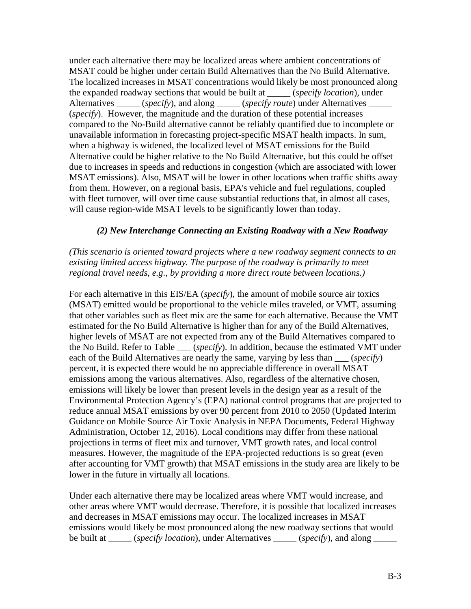under each alternative there may be localized areas where ambient concentrations of MSAT could be higher under certain Build Alternatives than the No Build Alternative. The localized increases in MSAT concentrations would likely be most pronounced along the expanded roadway sections that would be built at \_\_\_\_\_ (*specify location*)*,* under Alternatives (*specify*), and along (*specify route*) under Alternatives (*specify*). However, the magnitude and the duration of these potential increases compared to the No-Build alternative cannot be reliably quantified due to incomplete or unavailable information in forecasting project-specific MSAT health impacts. In sum, when a highway is widened, the localized level of MSAT emissions for the Build Alternative could be higher relative to the No Build Alternative, but this could be offset due to increases in speeds and reductions in congestion (which are associated with lower MSAT emissions). Also, MSAT will be lower in other locations when traffic shifts away from them. However, on a regional basis, EPA's vehicle and fuel regulations, coupled with fleet turnover, will over time cause substantial reductions that, in almost all cases, will cause region-wide MSAT levels to be significantly lower than today.

#### *(2) New Interchange Connecting an Existing Roadway with a New Roadway*

#### *(This scenario is oriented toward projects where a new roadway segment connects to an*  existing limited access highway. The purpose of the roadway is primarily to meet *regional travel needs, e.g., by providing a more direct route between locations.)*

For each alternative in this EIS/EA (*specify*), the amount of mobile source air toxics (MSAT) emitted would be proportional to the vehicle miles traveled, or VMT, assuming that other variables such as fleet mix are the same for each alternative. Because the VMT estimated for the No Build Alternative is higher than for any of the Build Alternatives, higher levels of MSAT are not expected from any of the Build Alternatives compared to the No Build. Refer to Table \_\_\_ (*specify*). In addition, because the estimated VMT under each of the Build Alternatives are nearly the same, varying by less than \_\_\_ (*specify*) percent, it is expected there would be no appreciable difference in overall MSAT emissions among the various alternatives. Also, regardless of the alternative chosen, emissions will likely be lower than present levels in the design year as a result of the Environmental Protection Agency's (EPA) national control programs that are projected to reduce annual MSAT emissions by over 90 percent from 2010 to 2050 (Updated Interim Guidance on Mobile Source Air Toxic Analysis in NEPA Documents, Federal Highway Administration, October 12, 2016). Local conditions may differ from these national projections in terms of fleet mix and turnover, VMT growth rates, and local control measures. However, the magnitude of the EPA-projected reductions is so great (even after accounting for VMT growth) that MSAT emissions in the study area are likely to be lower in the future in virtually all locations.

Under each alternative there may be localized areas where VMT would increase, and other areas where VMT would decrease. Therefore, it is possible that localized increases and decreases in MSAT emissions may occur. The localized increases in MSAT emissions would likely be most pronounced along the new roadway sections that would be built at (*specify location*), under Alternatives (*specify*), and along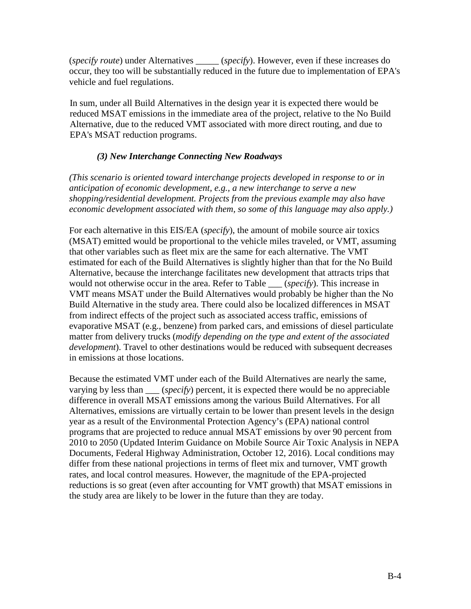(*specify route*) under Alternatives \_\_\_\_\_ (*specify*). However, even if these increases do occur, they too will be substantially reduced in the future due to implementation of EPA's vehicle and fuel regulations.

In sum, under all Build Alternatives in the design year it is expected there would be reduced MSAT emissions in the immediate area of the project, relative to the No Build Alternative, due to the reduced VMT associated with more direct routing, and due to EPA's MSAT reduction programs.

#### *(3) New Interchange Connecting New Roadways*

*(This scenario is oriented toward interchange projects developed in response to or in anticipation of economic development, e.g., a new interchange to serve a new shopping/residential development. Projects from the previous example may also have economic development associated with them, so some of this language may also apply.)*

For each alternative in this EIS/EA (*specify*), the amount of mobile source air toxics (MSAT) emitted would be proportional to the vehicle miles traveled, or VMT, assuming that other variables such as fleet mix are the same for each alternative. The VMT estimated for each of the Build Alternatives is slightly higher than that for the No Build Alternative, because the interchange facilitates new development that attracts trips that would not otherwise occur in the area. Refer to Table \_\_\_ (*specify*). This increase in VMT means MSAT under the Build Alternatives would probably be higher than the No Build Alternative in the study area. There could also be localized differences in MSAT from indirect effects of the project such as associated access traffic, emissions of evaporative MSAT (e.g., benzene) from parked cars, and emissions of diesel particulate matter from delivery trucks (*modify depending on the type and extent of the associated development*). Travel to other destinations would be reduced with subsequent decreases in emissions at those locations.

Because the estimated VMT under each of the Build Alternatives are nearly the same, varying by less than (*specify*) percent, it is expected there would be no appreciable difference in overall MSAT emissions among the various Build Alternatives. For all Alternatives, emissions are virtually certain to be lower than present levels in the design year as a result of the Environmental Protection Agency's (EPA) national control programs that are projected to reduce annual MSAT emissions by over 90 percent from 2010 to 2050 (Updated Interim Guidance on Mobile Source Air Toxic Analysis in NEPA Documents, Federal Highway Administration, October 12, 2016). Local conditions may differ from these national projections in terms of fleet mix and turnover, VMT growth rates, and local control measures. However, the magnitude of the EPA-projected reductions is so great (even after accounting for VMT growth) that MSAT emissions in the study area are likely to be lower in the future than they are today.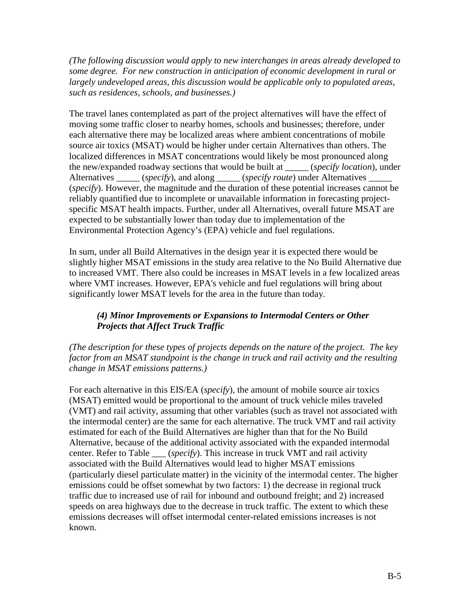*(The following discussion would apply to new interchanges in areas already developed to some degree. For new construction in anticipation of economic development in rural or largely undeveloped areas, this discussion would be applicable only to populated areas, such as residences, schools, and businesses.)*

The travel lanes contemplated as part of the project alternatives will have the effect of moving some traffic closer to nearby homes, schools and businesses; therefore, under each alternative there may be localized areas where ambient concentrations of mobile source air toxics (MSAT) would be higher under certain Alternatives than others. The localized differences in MSAT concentrations would likely be most pronounced along the new/expanded roadway sections that would be built at \_\_\_\_\_ (*specify location*), under Alternatives \_\_\_\_\_ (*specify*), and along \_\_\_\_\_ (*specify route*) under Alternatives \_\_\_\_\_ (*specify*). However, the magnitude and the duration of these potential increases cannot be reliably quantified due to incomplete or unavailable information in forecasting projectspecific MSAT health impacts. Further, under all Alternatives, overall future MSAT are expected to be substantially lower than today due to implementation of the Environmental Protection Agency's (EPA) vehicle and fuel regulations.

In sum, under all Build Alternatives in the design year it is expected there would be slightly higher MSAT emissions in the study area relative to the No Build Alternative due to increased VMT. There also could be increases in MSAT levels in a few localized areas where VMT increases. However, EPA's vehicle and fuel regulations will bring about significantly lower MSAT levels for the area in the future than today.

# *(4) Minor Improvements or Expansions to Intermodal Centers or Other Projects that Affect Truck Traffic*

*(The description for these types of projects depends on the nature of the project. The key factor from an MSAT standpoint is the change in truck and rail activity and the resulting change in MSAT emissions patterns.)*

For each alternative in this EIS/EA (*specify*), the amount of mobile source air toxics (MSAT) emitted would be proportional to the amount of truck vehicle miles traveled (VMT) and rail activity, assuming that other variables (such as travel not associated with the intermodal center) are the same for each alternative. The truck VMT and rail activity estimated for each of the Build Alternatives are higher than that for the No Build Alternative, because of the additional activity associated with the expanded intermodal center. Refer to Table  $(specify)$ . This increase in truck VMT and rail activity associated with the Build Alternatives would lead to higher MSAT emissions (particularly diesel particulate matter) in the vicinity of the intermodal center. The higher emissions could be offset somewhat by two factors: 1) the decrease in regional truck traffic due to increased use of rail for inbound and outbound freight; and 2) increased speeds on area highways due to the decrease in truck traffic. The extent to which these emissions decreases will offset intermodal center-related emissions increases is not known.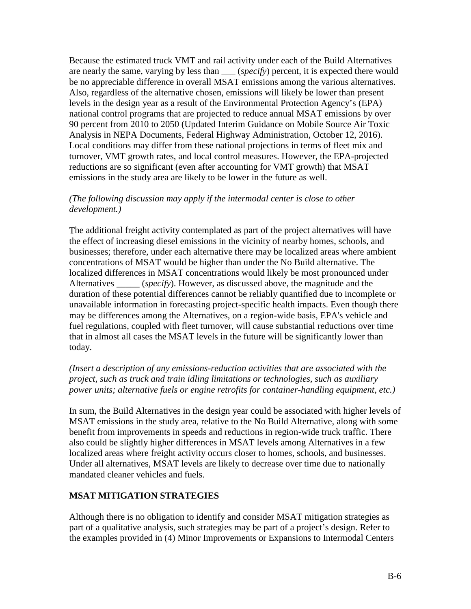Because the estimated truck VMT and rail activity under each of the Build Alternatives are nearly the same, varying by less than \_\_\_ (*specify*) percent, it is expected there would be no appreciable difference in overall MSAT emissions among the various alternatives. Also, regardless of the alternative chosen, emissions will likely be lower than present levels in the design year as a result of the Environmental Protection Agency's (EPA) national control programs that are projected to reduce annual MSAT emissions by over 90 percent from 2010 to 2050 (Updated Interim Guidance on Mobile Source Air Toxic Analysis in NEPA Documents, Federal Highway Administration, October 12, 2016). Local conditions may differ from these national projections in terms of fleet mix and turnover, VMT growth rates, and local control measures. However, the EPA-projected reductions are so significant (even after accounting for VMT growth) that MSAT emissions in the study area are likely to be lower in the future as well.

#### *(The following discussion may apply if the intermodal center is close to other development.)*

The additional freight activity contemplated as part of the project alternatives will have the effect of increasing diesel emissions in the vicinity of nearby homes, schools, and businesses; therefore, under each alternative there may be localized areas where ambient concentrations of MSAT would be higher than under the No Build alternative. The localized differences in MSAT concentrations would likely be most pronounced under Alternatives (*specify*). However, as discussed above, the magnitude and the duration of these potential differences cannot be reliably quantified due to incomplete or unavailable information in forecasting project-specific health impacts. Even though there may be differences among the Alternatives, on a region-wide basis, EPA's vehicle and fuel regulations, coupled with fleet turnover, will cause substantial reductions over time that in almost all cases the MSAT levels in the future will be significantly lower than today.

#### *(Insert a description of any emissions-reduction activities that are associated with the project, such as truck and train idling limitations or technologies, such as auxiliary power units; alternative fuels or engine retrofits for container-handling equipment, etc.)*

In sum, the Build Alternatives in the design year could be associated with higher levels of MSAT emissions in the study area, relative to the No Build Alternative, along with some benefit from improvements in speeds and reductions in region-wide truck traffic. There also could be slightly higher differences in MSAT levels among Alternatives in a few localized areas where freight activity occurs closer to homes, schools, and businesses. Under all alternatives, MSAT levels are likely to decrease over time due to nationally mandated cleaner vehicles and fuels.

#### **MSAT MITIGATION STRATEGIES**

Although there is no obligation to identify and consider MSAT mitigation strategies as part of a qualitative analysis, such strategies may be part of a project's design. Refer to the examples provided in (4) Minor Improvements or Expansions to Intermodal Centers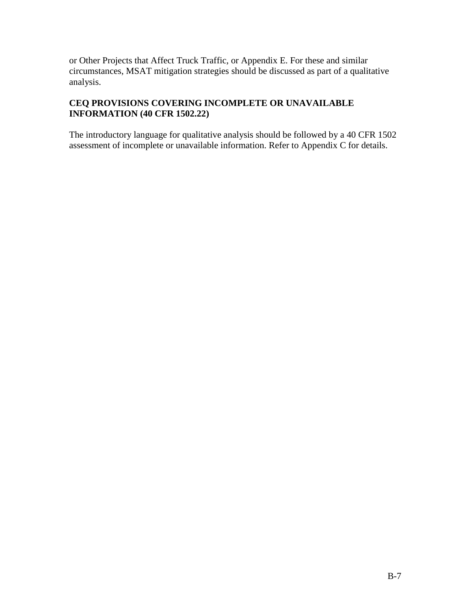or Other Projects that Affect Truck Traffic, or Appendix E. For these and similar circumstances, MSAT mitigation strategies should be discussed as part of a qualitative analysis.

# **CEQ PROVISIONS COVERING INCOMPLETE OR UNAVAILABLE INFORMATION (40 CFR 1502.22)**

The introductory language for qualitative analysis should be followed by a 40 CFR 1502 assessment of incomplete or unavailable information. Refer to Appendix C for details.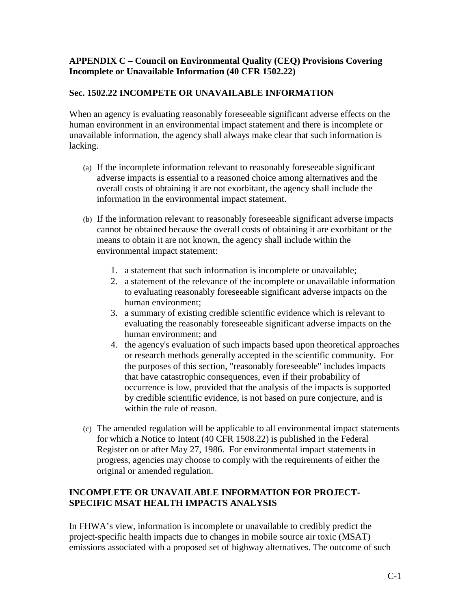#### **APPENDIX C – Council on Environmental Quality (CEQ) Provisions Covering Incomplete or Unavailable Information (40 CFR 1502.22)**

#### **Sec. 1502.22 INCOMPETE OR UNAVAILABLE INFORMATION**

When an agency is evaluating reasonably foreseeable significant adverse effects on the human environment in an environmental impact statement and there is incomplete or unavailable information, the agency shall always make clear that such information is lacking.

- (a) If the incomplete information relevant to reasonably foreseeable significant adverse impacts is essential to a reasoned choice among alternatives and the overall costs of obtaining it are not exorbitant, the agency shall include the information in the environmental impact statement.
- (b) If the information relevant to reasonably foreseeable significant adverse impacts cannot be obtained because the overall costs of obtaining it are exorbitant or the means to obtain it are not known, the agency shall include within the environmental impact statement:
	- 1. a statement that such information is incomplete or unavailable;
	- 2. a statement of the relevance of the incomplete or unavailable information to evaluating reasonably foreseeable significant adverse impacts on the human environment;
	- 3. a summary of existing credible scientific evidence which is relevant to evaluating the reasonably foreseeable significant adverse impacts on the human environment; and
	- 4. the agency's evaluation of such impacts based upon theoretical approaches or research methods generally accepted in the scientific community. For the purposes of this section, "reasonably foreseeable" includes impacts that have catastrophic consequences, even if their probability of occurrence is low, provided that the analysis of the impacts is supported by credible scientific evidence, is not based on pure conjecture, and is within the rule of reason.
- (c) The amended regulation will be applicable to all environmental impact statements for which a Notice to Intent (40 CFR 1508.22) is published in the Federal Register on or after May 27, 1986. For environmental impact statements in progress, agencies may choose to comply with the requirements of either the original or amended regulation.

#### **INCOMPLETE OR UNAVAILABLE INFORMATION FOR PROJECT-SPECIFIC MSAT HEALTH IMPACTS ANALYSIS**

In FHWA's view, information is incomplete or unavailable to credibly predict the project-specific health impacts due to changes in mobile source air toxic (MSAT) emissions associated with a proposed set of highway alternatives. The outcome of such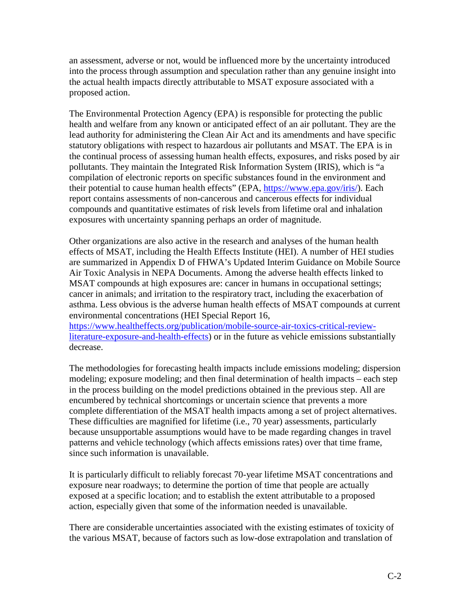an assessment, adverse or not, would be influenced more by the uncertainty introduced into the process through assumption and speculation rather than any genuine insight into the actual health impacts directly attributable to MSAT exposure associated with a proposed action.

The Environmental Protection Agency (EPA) is responsible for protecting the public health and welfare from any known or anticipated effect of an air pollutant. They are the lead authority for administering the Clean Air Act and its amendments and have specific statutory obligations with respect to hazardous air pollutants and MSAT. The EPA is in the continual process of assessing human health effects, exposures, and risks posed by air pollutants. They maintain the Integrated Risk Information System (IRIS), which is "a compilation of electronic reports on specific substances found in the environment and their potential to cause human health effects" (EPA, [https://www.epa.gov/iris/\)](https://www.epa.gov/iris/). Each report contains assessments of non-cancerous and cancerous effects for individual compounds and quantitative estimates of risk levels from lifetime oral and inhalation exposures with uncertainty spanning perhaps an order of magnitude.

Other organizations are also active in the research and analyses of the human health effects of MSAT, including the Health Effects Institute (HEI). A number of HEI studies are summarized in Appendix D of FHWA's Updated Interim Guidance on Mobile Source Air Toxic Analysis in NEPA Documents. Among the adverse health effects linked to MSAT compounds at high exposures are: cancer in humans in occupational settings; cancer in animals; and irritation to the respiratory tract, including the exacerbation of asthma. Less obvious is the adverse human health effects of MSAT compounds at current environmental concentrations (HEI Special Report 16,

[https://www.healtheffects.org/publication/mobile-source-air-toxics-critical-review](https://www.healtheffects.org/publication/mobile-source-air-toxics-critical-review-literature-exposure-and-health-effects)[literature-exposure-and-health-effects\)](https://www.healtheffects.org/publication/mobile-source-air-toxics-critical-review-literature-exposure-and-health-effects) or in the future as vehicle emissions substantially decrease.

The methodologies for forecasting health impacts include emissions modeling; dispersion modeling; exposure modeling; and then final determination of health impacts – each step in the process building on the model predictions obtained in the previous step. All are encumbered by technical shortcomings or uncertain science that prevents a more complete differentiation of the MSAT health impacts among a set of project alternatives. These difficulties are magnified for lifetime (i.e., 70 year) assessments, particularly because unsupportable assumptions would have to be made regarding changes in travel patterns and vehicle technology (which affects emissions rates) over that time frame, since such information is unavailable.

It is particularly difficult to reliably forecast 70-year lifetime MSAT concentrations and exposure near roadways; to determine the portion of time that people are actually exposed at a specific location; and to establish the extent attributable to a proposed action, especially given that some of the information needed is unavailable.

There are considerable uncertainties associated with the existing estimates of toxicity of the various MSAT, because of factors such as low-dose extrapolation and translation of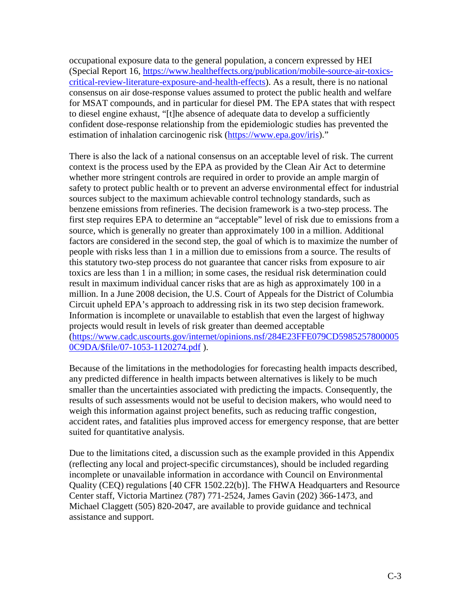occupational exposure data to the general population, a concern expressed by HEI (Special Report 16, [https://www.healtheffects.org/publication/mobile-source-air-toxics](https://www.healtheffects.org/publication/mobile-source-air-toxics-critical-review-literature-exposure-and-health-effects)[critical-review-literature-exposure-and-health-effects\)](https://www.healtheffects.org/publication/mobile-source-air-toxics-critical-review-literature-exposure-and-health-effects). As a result, there is no national consensus on air dose-response values assumed to protect the public health and welfare for MSAT compounds, and in particular for diesel PM. The EPA states that with respect to diesel engine exhaust, "[t]he absence of adequate data to develop a sufficiently confident dose-response relationship from the epidemiologic studies has prevented the estimation of inhalation carcinogenic risk [\(https://www.epa.gov/iris\)](https://www.epa.gov/iris)."

There is also the lack of a national consensus on an acceptable level of risk. The current context is the process used by the EPA as provided by the Clean Air Act to determine whether more stringent controls are required in order to provide an ample margin of safety to protect public health or to prevent an adverse environmental effect for industrial sources subject to the maximum achievable control technology standards, such as benzene emissions from refineries. The decision framework is a two-step process. The first step requires EPA to determine an "acceptable" level of risk due to emissions from a source, which is generally no greater than approximately 100 in a million. Additional factors are considered in the second step, the goal of which is to maximize the number of people with risks less than 1 in a million due to emissions from a source. The results of this statutory two-step process do not guarantee that cancer risks from exposure to air toxics are less than 1 in a million; in some cases, the residual risk determination could result in maximum individual cancer risks that are as high as approximately 100 in a million. In a June 2008 decision, the U.S. Court of Appeals for the District of Columbia Circuit upheld EPA's approach to addressing risk in its two step decision framework. Information is incomplete or unavailable to establish that even the largest of highway projects would result in levels of risk greater than deemed acceptable [\(https://www.cadc.uscourts.gov/internet/opinions.nsf/284E23FFE079CD5985257800005](https://www.cadc.uscourts.gov/internet/opinions.nsf/284E23FFE079CD59852578000050C9DA/$file/07-1053-1120274.pdf) [0C9DA/\\$file/07-1053-1120274.pdf](https://www.cadc.uscourts.gov/internet/opinions.nsf/284E23FFE079CD59852578000050C9DA/$file/07-1053-1120274.pdf) ).

Because of the limitations in the methodologies for forecasting health impacts described, any predicted difference in health impacts between alternatives is likely to be much smaller than the uncertainties associated with predicting the impacts. Consequently, the results of such assessments would not be useful to decision makers, who would need to weigh this information against project benefits, such as reducing traffic congestion, accident rates, and fatalities plus improved access for emergency response, that are better suited for quantitative analysis.

Due to the limitations cited, a discussion such as the example provided in this Appendix (reflecting any local and project-specific circumstances), should be included regarding incomplete or unavailable information in accordance with Council on Environmental Quality (CEQ) regulations [40 CFR 1502.22(b)]. The FHWA Headquarters and Resource Center staff, Victoria Martinez (787) 771-2524, James Gavin (202) 366-1473, and Michael Claggett (505) 820-2047, are available to provide guidance and technical assistance and support.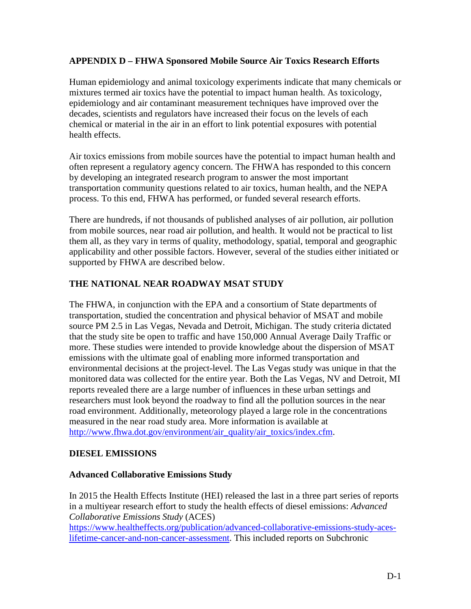#### **APPENDIX D – FHWA Sponsored Mobile Source Air Toxics Research Efforts**

Human epidemiology and animal toxicology experiments indicate that many chemicals or mixtures termed air toxics have the potential to impact human health. As toxicology, epidemiology and air contaminant measurement techniques have improved over the decades, scientists and regulators have increased their focus on the levels of each chemical or material in the air in an effort to link potential exposures with potential health effects.

Air toxics emissions from mobile sources have the potential to impact human health and often represent a regulatory agency concern. The FHWA has responded to this concern by developing an integrated research program to answer the most important transportation community questions related to air toxics, human health, and the NEPA process. To this end, FHWA has performed, or funded several research efforts.

There are hundreds, if not thousands of published analyses of air pollution, air pollution from mobile sources, near road air pollution, and health. It would not be practical to list them all, as they vary in terms of quality, methodology, spatial, temporal and geographic applicability and other possible factors. However, several of the studies either initiated or supported by FHWA are described below.

#### **THE NATIONAL NEAR ROADWAY MSAT STUDY**

The FHWA, in conjunction with the EPA and a consortium of State departments of transportation, studied the concentration and physical behavior of MSAT and mobile source PM 2.5 in Las Vegas, Nevada and Detroit, Michigan. The study criteria dictated that the study site be open to traffic and have 150,000 Annual Average Daily Traffic or more. These studies were intended to provide knowledge about the dispersion of MSAT emissions with the ultimate goal of enabling more informed transportation and environmental decisions at the project-level. The Las Vegas study was unique in that the monitored data was collected for the entire year. Both the Las Vegas, NV and Detroit, MI reports revealed there are a large number of influences in these urban settings and researchers must look beyond the roadway to find all the pollution sources in the near road environment. Additionally, meteorology played a large role in the concentrations measured in the near road study area. More information is available at [http://www.fhwa.dot.gov/environment/air\\_quality/air\\_toxics/index.cfm.](http://www.fhwa.dot.gov/environment/air_quality/air_toxics/index.cfm)

#### **DIESEL EMISSIONS**

#### **Advanced Collaborative Emissions Study**

In 2015 the Health Effects Institute (HEI) released the last in a three part series of reports in a multiyear research effort to study the health effects of diesel emissions: *Advanced Collaborative Emissions Study* (ACES)

[https://www.healtheffects.org/publication/advanced-collaborative-emissions-study-aces](https://www.healtheffects.org/publication/advanced-collaborative-emissions-study-aces-lifetime-cancer-and-non-cancer-assessment)[lifetime-cancer-and-non-cancer-assessment.](https://www.healtheffects.org/publication/advanced-collaborative-emissions-study-aces-lifetime-cancer-and-non-cancer-assessment) This included reports on Subchronic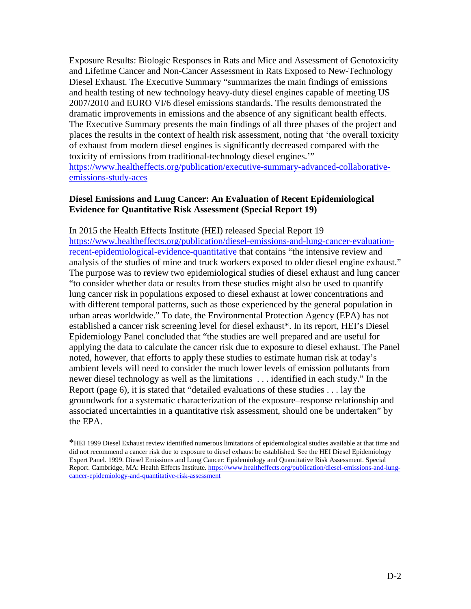Exposure Results: Biologic Responses in Rats and Mice and Assessment of Genotoxicity and Lifetime Cancer and Non-Cancer Assessment in Rats Exposed to New-Technology Diesel Exhaust. The Executive Summary "summarizes the main findings of emissions and health testing of new technology heavy-duty diesel engines capable of meeting US 2007/2010 and EURO VI/6 diesel emissions standards. The results demonstrated the dramatic improvements in emissions and the absence of any significant health effects. The Executive Summary presents the main findings of all three phases of the project and places the results in the context of health risk assessment, noting that 'the overall toxicity of exhaust from modern diesel engines is significantly decreased compared with the toxicity of emissions from traditional-technology diesel engines.'" [https://www.healtheffects.org/publication/executive-summary-advanced-collaborative](https://www.healtheffects.org/publication/executive-summary-advanced-collaborative-emissions-study-aces)[emissions-study-aces](https://www.healtheffects.org/publication/executive-summary-advanced-collaborative-emissions-study-aces)

#### **Diesel Emissions and Lung Cancer: An Evaluation of Recent Epidemiological Evidence for Quantitative Risk Assessment (Special Report 19)**

In 2015 the Health Effects Institute (HEI) released Special Report 19 [https://www.healtheffects.org/publication/diesel-emissions-and-lung-cancer-evaluation](https://www.healtheffects.org/publication/diesel-emissions-and-lung-cancer-evaluation-recent-epidemiological-evidence-quantitative)[recent-epidemiological-evidence-quantitative](https://www.healtheffects.org/publication/diesel-emissions-and-lung-cancer-evaluation-recent-epidemiological-evidence-quantitative) that contains "the intensive review and analysis of the studies of mine and truck workers exposed to older diesel engine exhaust." The purpose was to review two epidemiological studies of diesel exhaust and lung cancer "to consider whether data or results from these studies might also be used to quantify lung cancer risk in populations exposed to diesel exhaust at lower concentrations and with different temporal patterns, such as those experienced by the general population in urban areas worldwide." To date, the Environmental Protection Agency (EPA) has not established a cancer risk screening level for diesel exhaust\*. In its report, HEI's Diesel Epidemiology Panel concluded that "the studies are well prepared and are useful for applying the data to calculate the cancer risk due to exposure to diesel exhaust. The Panel noted, however, that efforts to apply these studies to estimate human risk at today's ambient levels will need to consider the much lower levels of emission pollutants from newer diesel technology as well as the limitations . . . identified in each study." In the Report (page 6), it is stated that "detailed evaluations of these studies . . . lay the groundwork for a systematic characterization of the exposure–response relationship and associated uncertainties in a quantitative risk assessment, should one be undertaken" by the EPA.

\*HEI 1999 Diesel Exhaust review identified numerous limitations of epidemiological studies available at that time and did not recommend a cancer risk due to exposure to diesel exhaust be established. See the HEI Diesel Epidemiology Expert Panel. 1999. Diesel Emissions and Lung Cancer: Epidemiology and Quantitative Risk Assessment. Special Report. Cambridge, MA: Health Effects Institute[. https://www.healtheffects.org/publication/diesel-emissions-and-lung](https://www.healtheffects.org/publication/diesel-emissions-and-lung-cancer-epidemiology-and-quantitative-risk-assessment)[cancer-epidemiology-and-quantitative-risk-assessment](https://www.healtheffects.org/publication/diesel-emissions-and-lung-cancer-epidemiology-and-quantitative-risk-assessment)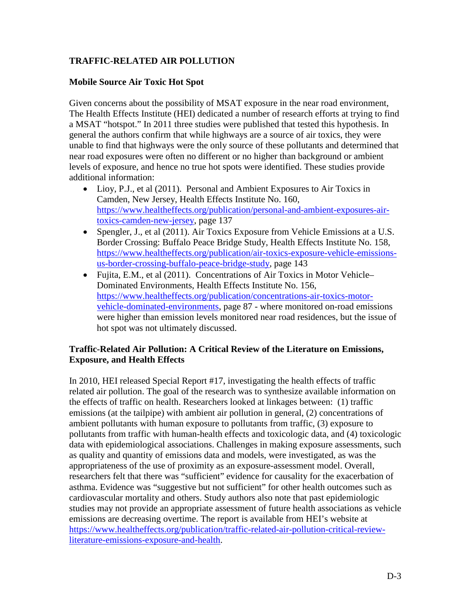# **TRAFFIC-RELATED AIR POLLUTION**

#### **Mobile Source Air Toxic Hot Spot**

Given concerns about the possibility of MSAT exposure in the near road environment, The Health Effects Institute (HEI) dedicated a number of research efforts at trying to find a MSAT "hotspot." In 2011 three studies were published that tested this hypothesis. In general the authors confirm that while highways are a source of air toxics, they were unable to find that highways were the only source of these pollutants and determined that near road exposures were often no different or no higher than background or ambient levels of exposure, and hence no true hot spots were identified. These studies provide additional information:

- Lioy, P.J., et al (2011). Personal and Ambient Exposures to Air Toxics in Camden, New Jersey, Health Effects Institute No. 160, [https://www.healtheffects.org/publication/personal-and-ambient-exposures-air](https://www.healtheffects.org/publication/personal-and-ambient-exposures-air-toxics-camden-new-jersey)[toxics-camden-new-jersey,](https://www.healtheffects.org/publication/personal-and-ambient-exposures-air-toxics-camden-new-jersey) page 137
- Spengler, J., et al (2011). Air Toxics Exposure from Vehicle Emissions at a U.S. Border Crossing: Buffalo Peace Bridge Study, Health Effects Institute No. 158, [https://www.healtheffects.org/publication/air-toxics-exposure-vehicle-emissions](https://www.healtheffects.org/publication/air-toxics-exposure-vehicle-emissions-us-border-crossing-buffalo-peace-bridge-study)[us-border-crossing-buffalo-peace-bridge-study,](https://www.healtheffects.org/publication/air-toxics-exposure-vehicle-emissions-us-border-crossing-buffalo-peace-bridge-study) page 143
- Fujita, E.M., et al (2011). Concentrations of Air Toxics in Motor Vehicle– Dominated Environments, Health Effects Institute No. 156, [https://www.healtheffects.org/publication/concentrations-air-toxics-motor](https://www.healtheffects.org/publication/concentrations-air-toxics-motor-vehicle-dominated-environments)[vehicle-dominated-environments,](https://www.healtheffects.org/publication/concentrations-air-toxics-motor-vehicle-dominated-environments) page 87 - where monitored on-road emissions were higher than emission levels monitored near road residences, but the issue of hot spot was not ultimately discussed.

#### **Traffic-Related Air Pollution: A Critical Review of the Literature on Emissions, Exposure, and Health Effects**

In 2010, HEI released Special Report #17, investigating the health effects of traffic related air pollution. The goal of the research was to synthesize available information on the effects of traffic on health. Researchers looked at linkages between: (1) traffic emissions (at the tailpipe) with ambient air pollution in general, (2) concentrations of ambient pollutants with human exposure to pollutants from traffic, (3) exposure to pollutants from traffic with human-health effects and toxicologic data, and (4) toxicologic data with epidemiological associations. Challenges in making exposure assessments, such as quality and quantity of emissions data and models, were investigated, as was the appropriateness of the use of proximity as an exposure-assessment model. Overall, researchers felt that there was "sufficient" evidence for causality for the exacerbation of asthma. Evidence was "suggestive but not sufficient" for other health outcomes such as cardiovascular mortality and others. Study authors also note that past epidemiologic studies may not provide an appropriate assessment of future health associations as vehicle emissions are decreasing overtime. The report is available from HEI's website at [https://www.healtheffects.org/publication/traffic-related-air-pollution-critical-review](https://www.healtheffects.org/publication/traffic-related-air-pollution-critical-review-literature-emissions-exposure-and-health)[literature-emissions-exposure-and-health.](https://www.healtheffects.org/publication/traffic-related-air-pollution-critical-review-literature-emissions-exposure-and-health)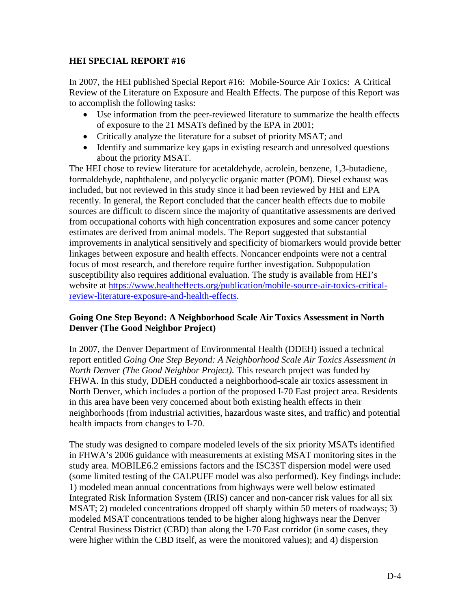#### **HEI SPECIAL REPORT #16**

In 2007, the HEI published Special Report #16: Mobile-Source Air Toxics: A Critical Review of the Literature on Exposure and Health Effects. The purpose of this Report was to accomplish the following tasks:

- Use information from the peer-reviewed literature to summarize the health effects of exposure to the 21 MSATs defined by the EPA in 2001;
- Critically analyze the literature for a subset of priority MSAT; and
- Identify and summarize key gaps in existing research and unresolved questions about the priority MSAT.

The HEI chose to review literature for acetaldehyde, acrolein, benzene, 1,3-butadiene, formaldehyde, naphthalene, and polycyclic organic matter (POM). Diesel exhaust was included, but not reviewed in this study since it had been reviewed by HEI and EPA recently. In general, the Report concluded that the cancer health effects due to mobile sources are difficult to discern since the majority of quantitative assessments are derived from occupational cohorts with high concentration exposures and some cancer potency estimates are derived from animal models. The Report suggested that substantial improvements in analytical sensitively and specificity of biomarkers would provide better linkages between exposure and health effects. Noncancer endpoints were not a central focus of most research, and therefore require further investigation. Subpopulation susceptibility also requires additional evaluation. The study is available from HEI's website at [https://www.healtheffects.org/publication/mobile-source-air-toxics-critical](https://www.healtheffects.org/publication/mobile-source-air-toxics-critical-review-literature-exposure-and-health-effects)[review-literature-exposure-and-health-effects.](https://www.healtheffects.org/publication/mobile-source-air-toxics-critical-review-literature-exposure-and-health-effects)

#### **Going One Step Beyond: A Neighborhood Scale Air Toxics Assessment in North Denver (The Good Neighbor Project)**

In 2007, the Denver Department of Environmental Health (DDEH) issued a technical report entitled *Going One Step Beyond: A Neighborhood Scale Air Toxics Assessment in North Denver (The Good Neighbor Project)*. This research project was funded by FHWA. In this study, DDEH conducted a neighborhood-scale air toxics assessment in North Denver, which includes a portion of the proposed I-70 East project area. Residents in this area have been very concerned about both existing health effects in their neighborhoods (from industrial activities, hazardous waste sites, and traffic) and potential health impacts from changes to I-70.

The study was designed to compare modeled levels of the six priority MSATs identified in FHWA's 2006 guidance with measurements at existing MSAT monitoring sites in the study area. MOBILE6.2 emissions factors and the ISC3ST dispersion model were used (some limited testing of the CALPUFF model was also performed). Key findings include: 1) modeled mean annual concentrations from highways were well below estimated Integrated Risk Information System (IRIS) cancer and non-cancer risk values for all six MSAT; 2) modeled concentrations dropped off sharply within 50 meters of roadways; 3) modeled MSAT concentrations tended to be higher along highways near the Denver Central Business District (CBD) than along the I-70 East corridor (in some cases, they were higher within the CBD itself, as were the monitored values); and 4) dispersion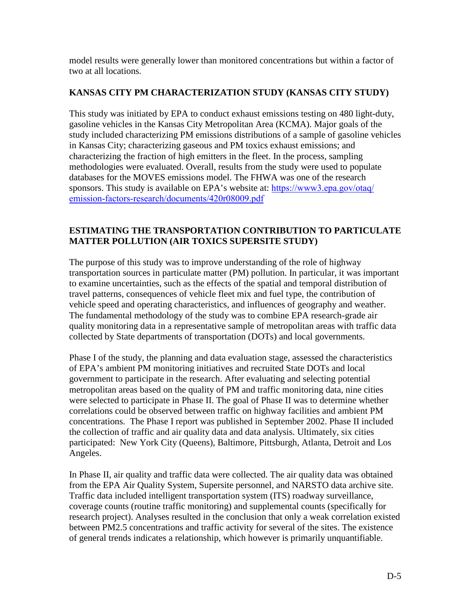model results were generally lower than monitored concentrations but within a factor of two at all locations.

# **KANSAS CITY PM CHARACTERIZATION STUDY (KANSAS CITY STUDY)**

This study was initiated by EPA to conduct exhaust emissions testing on 480 light-duty, gasoline vehicles in the Kansas City Metropolitan Area (KCMA). Major goals of the study included characterizing PM emissions distributions of a sample of gasoline vehicles in Kansas City; characterizing gaseous and PM toxics exhaust emissions; and characterizing the fraction of high emitters in the fleet. In the process, sampling methodologies were evaluated. Overall, results from the study were used to populate databases for the MOVES emissions model. The FHWA was one of the research sponsors. This study is available on EPA's website at: [https://www3.epa.gov/otaq/](https://www3.epa.gov/otaq/emission-factors-research/documents/420r08009.pdf) [emission-factors-research/documents/420r08009.pdf](https://www3.epa.gov/otaq/emission-factors-research/documents/420r08009.pdf)

# **ESTIMATING THE TRANSPORTATION CONTRIBUTION TO PARTICULATE MATTER POLLUTION (AIR TOXICS SUPERSITE STUDY)**

The purpose of this study was to improve understanding of the role of highway transportation sources in particulate matter (PM) pollution. In particular, it was important to examine uncertainties, such as the effects of the spatial and temporal distribution of travel patterns, consequences of vehicle fleet mix and fuel type, the contribution of vehicle speed and operating characteristics, and influences of geography and weather. The fundamental methodology of the study was to combine EPA research-grade air quality monitoring data in a representative sample of metropolitan areas with traffic data collected by State departments of transportation (DOTs) and local governments.

Phase I of the study, the planning and data evaluation stage, assessed the characteristics of EPA's ambient PM monitoring initiatives and recruited State DOTs and local government to participate in the research. After evaluating and selecting potential metropolitan areas based on the quality of PM and traffic monitoring data, nine cities were selected to participate in Phase II. The goal of Phase II was to determine whether correlations could be observed between traffic on highway facilities and ambient PM concentrations. The Phase I report was published in September 2002. Phase II included the collection of traffic and air quality data and data analysis. Ultimately, six cities participated: New York City (Queens), Baltimore, Pittsburgh, Atlanta, Detroit and Los Angeles.

In Phase II, air quality and traffic data were collected. The air quality data was obtained from the EPA Air Quality System, Supersite personnel, and NARSTO data archive site. Traffic data included intelligent transportation system (ITS) roadway surveillance, coverage counts (routine traffic monitoring) and supplemental counts (specifically for research project). Analyses resulted in the conclusion that only a weak correlation existed between PM2.5 concentrations and traffic activity for several of the sites. The existence of general trends indicates a relationship, which however is primarily unquantifiable.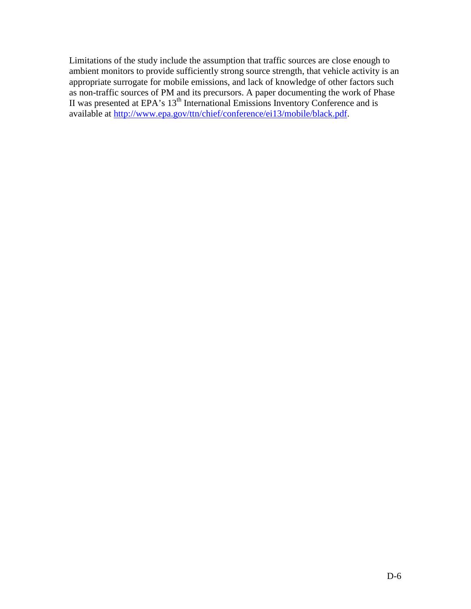Limitations of the study include the assumption that traffic sources are close enough to ambient monitors to provide sufficiently strong source strength, that vehicle activity is an appropriate surrogate for mobile emissions, and lack of knowledge of other factors such as non-traffic sources of PM and its precursors. A paper documenting the work of Phase II was presented at EPA's 13<sup>th</sup> International Emissions Inventory Conference and is available at [http://www.epa.gov/ttn/chief/conference/ei13/mobile/black.pdf.](http://www.epa.gov/ttn/chief/conference/ei13/mobile/black.pdf)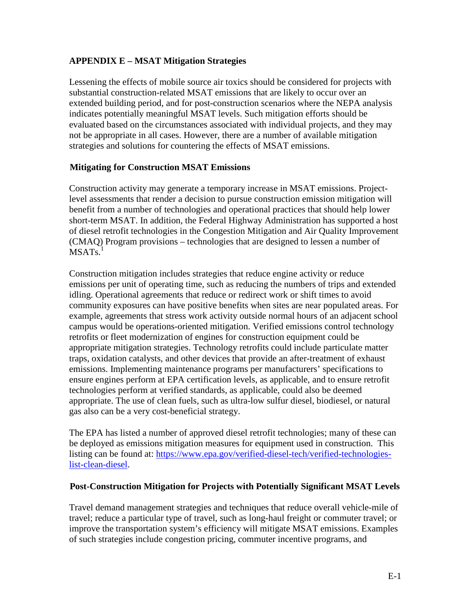## **APPENDIX E – MSAT Mitigation Strategies**

Lessening the effects of mobile source air toxics should be considered for projects with substantial construction-related MSAT emissions that are likely to occur over an extended building period, and for post-construction scenarios where the NEPA analysis indicates potentially meaningful MSAT levels. Such mitigation efforts should be evaluated based on the circumstances associated with individual projects, and they may not be appropriate in all cases. However, there are a number of available mitigation strategies and solutions for countering the effects of MSAT emissions.

#### **Mitigating for Construction MSAT Emissions**

Construction activity may generate a temporary increase in MSAT emissions. Projectlevel assessments that render a decision to pursue construction emission mitigation will benefit from a number of technologies and operational practices that should help lower short-term MSAT. In addition, the Federal Highway Administration has supported a host of diesel retrofit technologies in the Congestion Mitigation and Air Quality Improvement (CMAQ) Program provisions – technologies that are designed to lessen a number of  $MSATS<sup>1</sup>$ 

Construction mitigation includes strategies that reduce engine activity or reduce emissions per unit of operating time, such as reducing the numbers of trips and extended idling. Operational agreements that reduce or redirect work or shift times to avoid community exposures can have positive benefits when sites are near populated areas. For example, agreements that stress work activity outside normal hours of an adjacent school campus would be operations-oriented mitigation. Verified emissions control technology retrofits or fleet modernization of engines for construction equipment could be appropriate mitigation strategies. Technology retrofits could include particulate matter traps, oxidation catalysts, and other devices that provide an after-treatment of exhaust emissions. Implementing maintenance programs per manufacturers' specifications to ensure engines perform at EPA certification levels, as applicable, and to ensure retrofit technologies perform at verified standards, as applicable, could also be deemed appropriate. The use of clean fuels, such as ultra-low sulfur diesel, biodiesel, or natural gas also can be a very cost-beneficial strategy.

The EPA has listed a number of approved diesel retrofit technologies; many of these can be deployed as emissions mitigation measures for equipment used in construction. This listing can be found at: [https://www.epa.gov/verified-diesel-tech/verified-technologies](https://www.epa.gov/verified-diesel-tech/verified-technologies-list-clean-diesel)[list-clean-diesel.](https://www.epa.gov/verified-diesel-tech/verified-technologies-list-clean-diesel)

#### **Post-Construction Mitigation for Projects with Potentially Significant MSAT Levels**

Travel demand management strategies and techniques that reduce overall vehicle-mile of travel; reduce a particular type of travel, such as long-haul freight or commuter travel; or improve the transportation system's efficiency will mitigate MSAT emissions. Examples of such strategies include congestion pricing, commuter incentive programs, and